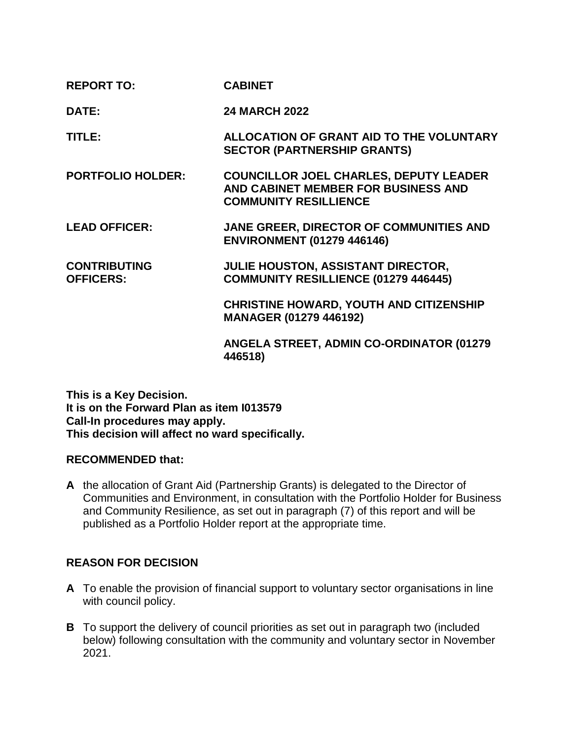| <b>REPORT TO:</b>                       | <b>CABINET</b>                                                                                                       |
|-----------------------------------------|----------------------------------------------------------------------------------------------------------------------|
| DATE:                                   | <b>24 MARCH 2022</b>                                                                                                 |
| TITLE:                                  | ALLOCATION OF GRANT AID TO THE VOLUNTARY<br><b>SECTOR (PARTNERSHIP GRANTS)</b>                                       |
| <b>PORTFOLIO HOLDER:</b>                | <b>COUNCILLOR JOEL CHARLES, DEPUTY LEADER</b><br>AND CABINET MEMBER FOR BUSINESS AND<br><b>COMMUNITY RESILLIENCE</b> |
| <b>LEAD OFFICER:</b>                    | JANE GREER, DIRECTOR OF COMMUNITIES AND<br><b>ENVIRONMENT (01279 446146)</b>                                         |
| <b>CONTRIBUTING</b><br><b>OFFICERS:</b> | JULIE HOUSTON, ASSISTANT DIRECTOR,<br>COMMUNITY RESILLIENCE (01279 446445)                                           |
|                                         | <b>CHRISTINE HOWARD, YOUTH AND CITIZENSHIP</b><br><b>MANAGER (01279 446192)</b>                                      |
|                                         | <b>ANGELA STREET, ADMIN CO-ORDINATOR (01279)</b><br>446518)                                                          |

**This is a Key Decision. It is on the Forward Plan as item I013579 Call-In procedures may apply. This decision will affect no ward specifically.**

## **RECOMMENDED that:**

**A** the allocation of Grant Aid (Partnership Grants) is delegated to the Director of Communities and Environment, in consultation with the Portfolio Holder for Business and Community Resilience, as set out in paragraph (7) of this report and will be published as a Portfolio Holder report at the appropriate time.

# **REASON FOR DECISION**

- **A** To enable the provision of financial support to voluntary sector organisations in line with council policy.
- **B** To support the delivery of council priorities as set out in paragraph two (included below) following consultation with the community and voluntary sector in November 2021.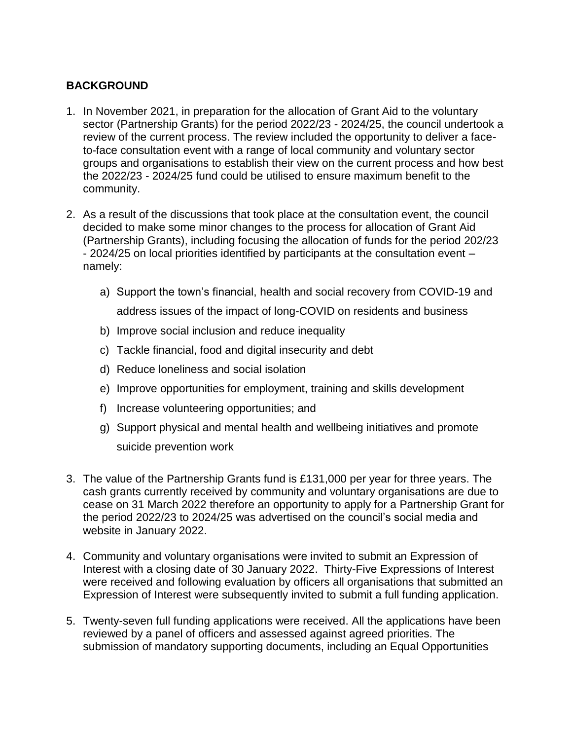# **BACKGROUND**

- 1. In November 2021, in preparation for the allocation of Grant Aid to the voluntary sector (Partnership Grants) for the period 2022/23 - 2024/25, the council undertook a review of the current process. The review included the opportunity to deliver a faceto-face consultation event with a range of local community and voluntary sector groups and organisations to establish their view on the current process and how best the 2022/23 - 2024/25 fund could be utilised to ensure maximum benefit to the community.
- 2. As a result of the discussions that took place at the consultation event, the council decided to make some minor changes to the process for allocation of Grant Aid (Partnership Grants), including focusing the allocation of funds for the period 202/23 - 2024/25 on local priorities identified by participants at the consultation event – namely:
	- a) Support the town's financial, health and social recovery from COVID-19 and address issues of the impact of long-COVID on residents and business
	- b) Improve social inclusion and reduce inequality
	- c) Tackle financial, food and digital insecurity and debt
	- d) Reduce loneliness and social isolation
	- e) Improve opportunities for employment, training and skills development
	- f) Increase volunteering opportunities; and
	- g) Support physical and mental health and wellbeing initiatives and promote suicide prevention work
- 3. The value of the Partnership Grants fund is £131,000 per year for three years. The cash grants currently received by community and voluntary organisations are due to cease on 31 March 2022 therefore an opportunity to apply for a Partnership Grant for the period 2022/23 to 2024/25 was advertised on the council's social media and website in January 2022.
- 4. Community and voluntary organisations were invited to submit an Expression of Interest with a closing date of 30 January 2022. Thirty-Five Expressions of Interest were received and following evaluation by officers all organisations that submitted an Expression of Interest were subsequently invited to submit a full funding application.
- 5. Twenty-seven full funding applications were received. All the applications have been reviewed by a panel of officers and assessed against agreed priorities. The submission of mandatory supporting documents, including an Equal Opportunities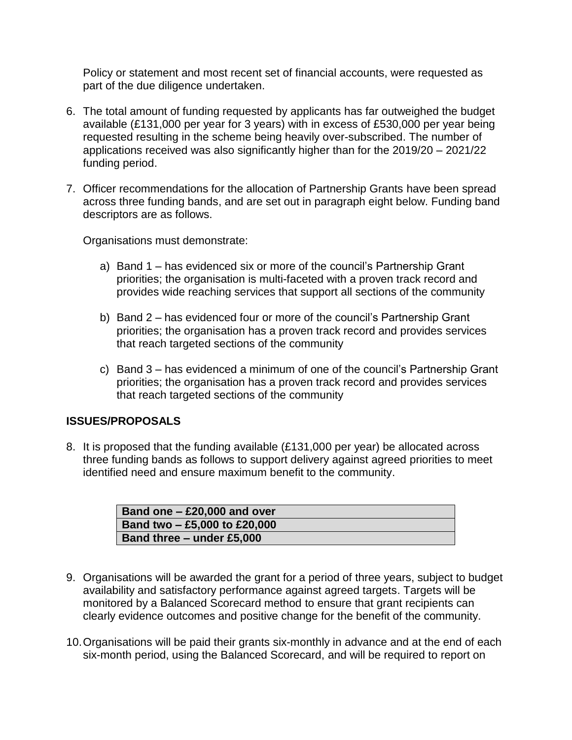Policy or statement and most recent set of financial accounts, were requested as part of the due diligence undertaken.

- 6. The total amount of funding requested by applicants has far outweighed the budget available (£131,000 per year for 3 years) with in excess of £530,000 per year being requested resulting in the scheme being heavily over-subscribed. The number of applications received was also significantly higher than for the 2019/20 – 2021/22 funding period.
- 7. Officer recommendations for the allocation of Partnership Grants have been spread across three funding bands, and are set out in paragraph eight below. Funding band descriptors are as follows.

Organisations must demonstrate:

- a) Band 1 has evidenced six or more of the council's Partnership Grant priorities; the organisation is multi-faceted with a proven track record and provides wide reaching services that support all sections of the community
- b) Band 2 has evidenced four or more of the council's Partnership Grant priorities; the organisation has a proven track record and provides services that reach targeted sections of the community
- c) Band 3 has evidenced a minimum of one of the council's Partnership Grant priorities; the organisation has a proven track record and provides services that reach targeted sections of the community

## **ISSUES/PROPOSALS**

8. It is proposed that the funding available (£131,000 per year) be allocated across three funding bands as follows to support delivery against agreed priorities to meet identified need and ensure maximum benefit to the community.

| Band one $-$ £20,000 and over |
|-------------------------------|
| Band two - £5,000 to £20,000  |
| Band three - under £5,000     |

- 9. Organisations will be awarded the grant for a period of three years, subject to budget availability and satisfactory performance against agreed targets. Targets will be monitored by a Balanced Scorecard method to ensure that grant recipients can clearly evidence outcomes and positive change for the benefit of the community.
- 10.Organisations will be paid their grants six-monthly in advance and at the end of each six-month period, using the Balanced Scorecard, and will be required to report on